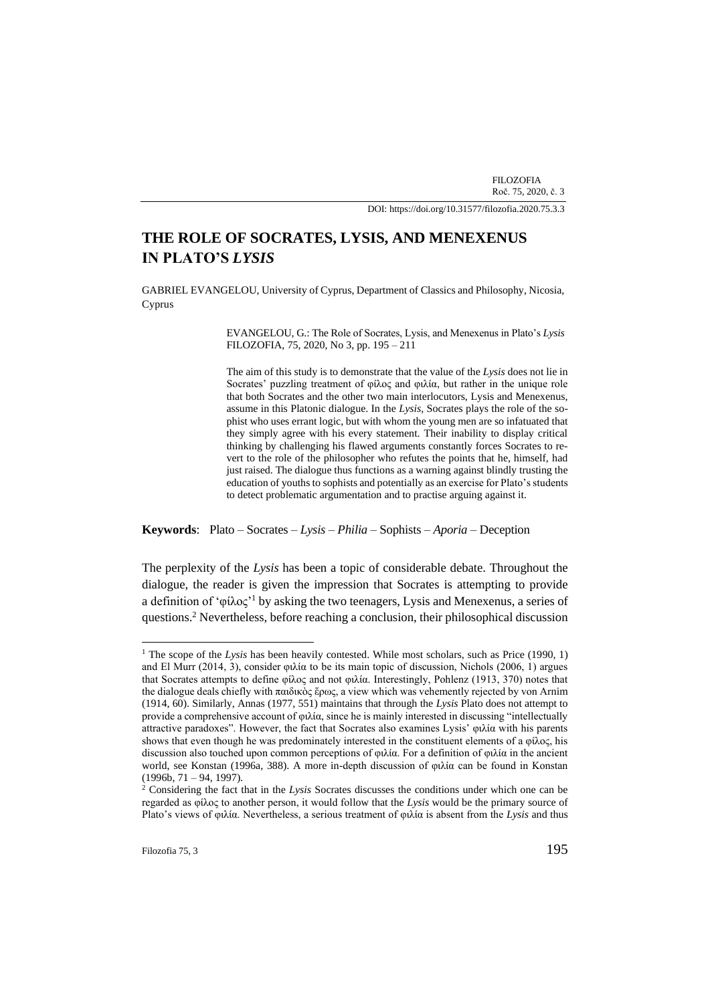FILOZOFIA Roč. 75, 2020, č. 3

DOI[: https://doi.org/10.31577/filozofia.2020.75.3.3](https://doi.org/10.31577/filozofia.2020.75.3.)

# **THE ROLE OF SOCRATES, LYSIS, AND MENEXENUS IN PLATO'S** *LYSIS*

GABRIEL EVANGELOU, University of Cyprus, Department of Classics and Philosophy, Nicosia, Cyprus

> EVANGELOU, G.: The Role of Socrates, Lysis, and Menexenus in Plato's *Lysis* FILOZOFIA, 75, 2020, No 3, pp. 195 – 211

> The aim of this study is to demonstrate that the value of the *Lysis* does not lie in Socrates' puzzling treatment of φίλος and φιλία, but rather in the unique role that both Socrates and the other two main interlocutors, Lysis and Menexenus, assume in this Platonic dialogue. In the *Lysis*, Socrates plays the role of the sophist who uses errant logic, but with whom the young men are so infatuated that they simply agree with his every statement. Their inability to display critical thinking by challenging his flawed arguments constantly forces Socrates to revert to the role of the philosopher who refutes the points that he, himself, had just raised. The dialogue thus functions as a warning against blindly trusting the education of youths to sophists and potentially as an exercise for Plato's students to detect problematic argumentation and to practise arguing against it.

**Keywords**: Plato – Socrates – *Lysis* – *Philia* – Sophists – *Aporia* – Deception

The perplexity of the *Lysis* has been a topic of considerable debate. Throughout the dialogue, the reader is given the impression that Socrates is attempting to provide a definition of 'φίλος'<sup>1</sup> by asking the two teenagers, Lysis and Menexenus, a series of questions.<sup>2</sup> Nevertheless, before reaching a conclusion, their philosophical discussion

<sup>&</sup>lt;sup>1</sup> The scope of the *Lysis* has been heavily contested. While most scholars, such as Price (1990, 1) and El Murr (2014, 3), consider φιλία to be its main topic of discussion, Nichols (2006, 1) argues that Socrates attempts to define φίλος and not φιλία. Interestingly, Pohlenz (1913, 370) notes that the dialogue deals chiefly with παιδικὸς ἔρως, a view which was vehemently rejected by von Arnim (1914, 60). Similarly, Annas (1977, 551) maintains that through the *Lysis* Plato does not attempt to provide a comprehensive account of φιλία, since he is mainly interested in discussing "intellectually attractive paradoxes". However, the fact that Socrates also examines Lysis' φιλία with his parents shows that even though he was predominately interested in the constituent elements of a φίλος, his discussion also touched upon common perceptions of φιλία. For a definition of φιλία in the ancient world, see Konstan (1996a, 388). A more in-depth discussion of φιλία can be found in Konstan  $(1996b, 71 - 94, 1997).$ 

<sup>2</sup> Considering the fact that in the *Lysis* Socrates discusses the conditions under which one can be regarded as φίλος to another person, it would follow that the *Lysis* would be the primary source of Plato's views of φιλία. Nevertheless, a serious treatment of φιλία is absent from the *Lysis* and thus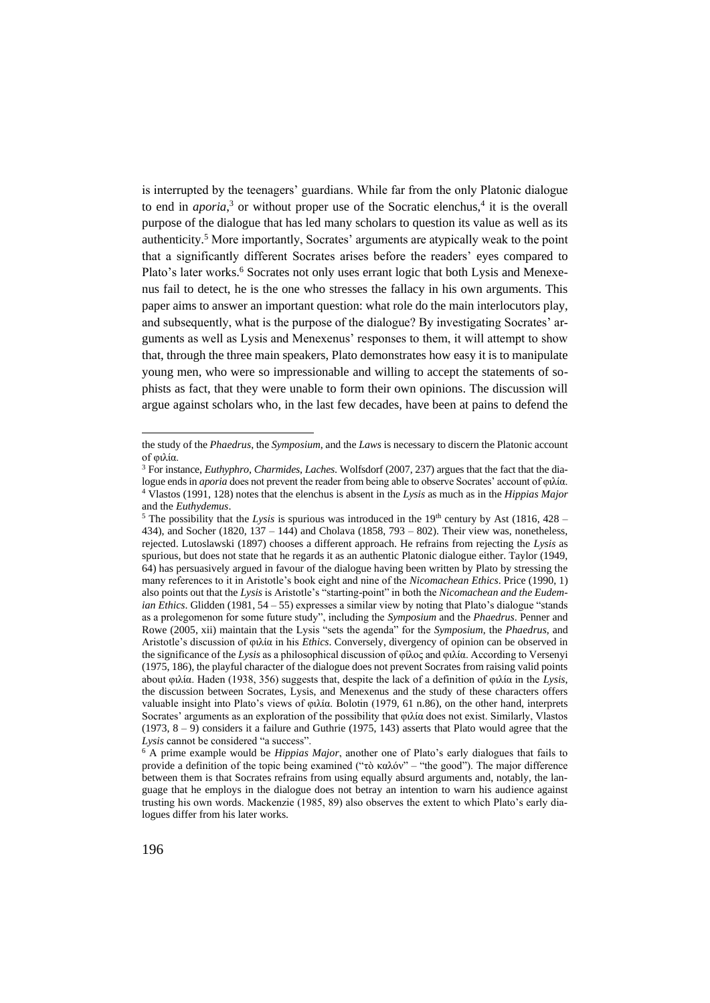is interrupted by the teenagers' guardians. While far from the only Platonic dialogue to end in *aporia*,<sup>3</sup> or without proper use of the Socratic elenchus,<sup>4</sup> it is the overall purpose of the dialogue that has led many scholars to question its value as well as its authenticity.<sup>5</sup> More importantly, Socrates' arguments are atypically weak to the point that a significantly different Socrates arises before the readers' eyes compared to Plato's later works.<sup>6</sup> Socrates not only uses errant logic that both Lysis and Menexenus fail to detect, he is the one who stresses the fallacy in his own arguments. This paper aims to answer an important question: what role do the main interlocutors play, and subsequently, what is the purpose of the dialogue? By investigating Socrates' arguments as well as Lysis and Menexenus' responses to them, it will attempt to show that, through the three main speakers, Plato demonstrates how easy it is to manipulate young men, who were so impressionable and willing to accept the statements of sophists as fact, that they were unable to form their own opinions. The discussion will argue against scholars who, in the last few decades, have been at pains to defend the

the study of the *Phaedrus*, the *Symposium*, and the *Laws* is necessary to discern the Platonic account of φιλία.

<sup>3</sup> For instance, *Euthyphro*, *Charmides*, *Laches*. Wolfsdorf (2007, 237) argues that the fact that the dialogue ends in *aporia* does not prevent the reader from being able to observe Socrates' account of φιλία. <sup>4</sup> Vlastos (1991, 128) notes that the elenchus is absent in the *Lysis* as much as in the *Hippias Major*  and the *Euthydemus*.

 $5$  The possibility that the *Lysis* is spurious was introduced in the 19<sup>th</sup> century by Ast (1816, 428 – 434), and Socher (1820, 137 – 144) and Cholava (1858, 793 – 802). Their view was, nonetheless, rejected. Lutoslawski (1897) chooses a different approach. He refrains from rejecting the *Lysis* as spurious, but does not state that he regards it as an authentic Platonic dialogue either. Taylor (1949, 64) has persuasively argued in favour of the dialogue having been written by Plato by stressing the many references to it in Aristotle's book eight and nine of the *Nicomachean Ethics*. Price (1990, 1) also points out that the *Lysis* is Aristotle's "starting-point" in both the *Nicomachean and the Eudemian Ethics*. Glidden (1981, 54 – 55) expresses a similar view by noting that Plato's dialogue "stands as a prolegomenon for some future study", including the *Symposium* and the *Phaedrus*. Penner and Rowe (2005, xii) maintain that the Lysis "sets the agenda" for the *Symposium*, the *Phaedrus*, and Aristotle's discussion of φιλία in his *Ethics*. Conversely, divergency of opinion can be observed in the significance of the *Lysis* as a philosophical discussion of φίλος and φιλία. According to Versenyi (1975, 186), the playful character of the dialogue does not prevent Socrates from raising valid points about φιλία. Haden (1938, 356) suggests that, despite the lack of a definition of φιλία in the *Lysis*, the discussion between Socrates, Lysis, and Menexenus and the study of these characters offers valuable insight into Plato's views of φιλία. Bolotin (1979, 61 n.86), on the other hand, interprets Socrates' arguments as an exploration of the possibility that φιλία does not exist. Similarly, Vlastos (1973, 8 – 9) considers it a failure and Guthrie (1975, 143) asserts that Plato would agree that the *Lysis* cannot be considered "a success".

<sup>6</sup> A prime example would be *Hippias Major*, another one of Plato's early dialogues that fails to provide a definition of the topic being examined ("τὸ καλόν" – "the good"). The major difference between them is that Socrates refrains from using equally absurd arguments and, notably, the language that he employs in the dialogue does not betray an intention to warn his audience against trusting his own words. Mackenzie (1985, 89) also observes the extent to which Plato's early dialogues differ from his later works.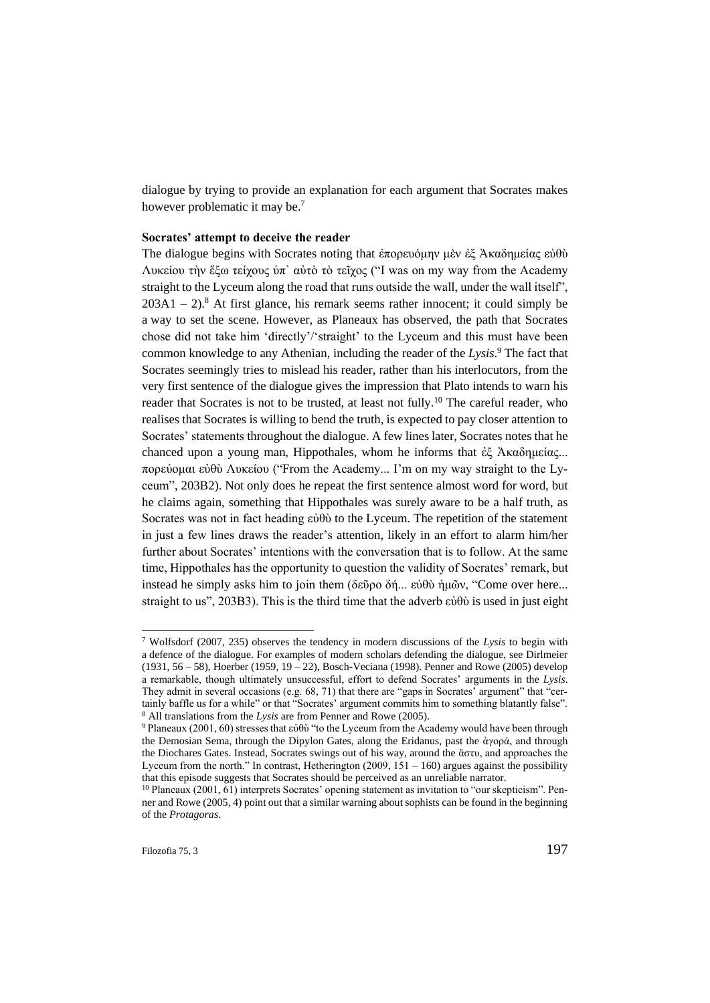dialogue by trying to provide an explanation for each argument that Socrates makes however problematic it may be.<sup>7</sup>

#### **Socrates' attempt to deceive the reader**

The dialogue begins with Socrates noting that ἐπορευόμην μὲν ἐξ Ἀκαδημείας εὐθὺ Λυκείου τὴν ἔξω τείχους ὑπ᾿ αὐτὸ τὸ τεῖχος ("I was on my way from the Academy straight to the Lyceum along the road that runs outside the wall, under the wall itself",  $203A1 - 2$ <sup>8</sup>. At first glance, his remark seems rather innocent; it could simply be a way to set the scene. However, as Planeaux has observed, the path that Socrates chose did not take him 'directly'/'straight' to the Lyceum and this must have been common knowledge to any Athenian, including the reader of the *Lysis*. <sup>9</sup> The fact that Socrates seemingly tries to mislead his reader, rather than his interlocutors, from the very first sentence of the dialogue gives the impression that Plato intends to warn his reader that Socrates is not to be trusted, at least not fully.<sup>10</sup> The careful reader, who realises that Socrates is willing to bend the truth, is expected to pay closer attention to Socrates' statements throughout the dialogue. A few lines later, Socrates notes that he chanced upon a young man, Hippothales, whom he informs that ἐξ Ἀκαδημείας... πορεύομαι εὐθὺ Λυκείου ("From the Academy... I'm on my way straight to the Lyceum", 203B2). Not only does he repeat the first sentence almost word for word, but he claims again, something that Hippothales was surely aware to be a half truth, as Socrates was not in fact heading εὐθὺ to the Lyceum. The repetition of the statement in just a few lines draws the reader's attention, likely in an effort to alarm him/her further about Socrates' intentions with the conversation that is to follow. At the same time, Hippothales has the opportunity to question the validity of Socrates' remark, but instead he simply asks him to join them (δεῦρο δή... εὐθὺ ἡμῶν, "Come over here... straight to us", 203B3). This is the third time that the adverb  $\varepsilon \dot{\theta} \theta \dot{\theta}$  is used in just eight

<sup>7</sup> Wolfsdorf (2007, 235) observes the tendency in modern discussions of the *Lysis* to begin with a defence of the dialogue. For examples of modern scholars defending the dialogue, see Dirlmeier (1931, 56 – 58), Hoerber (1959, 19 – 22), Bosch-Veciana (1998). Penner and Rowe (2005) develop a remarkable, though ultimately unsuccessful, effort to defend Socrates' arguments in the *Lysis*. They admit in several occasions (e.g. 68, 71) that there are "gaps in Socrates' argument" that "certainly baffle us for a while" or that "Socrates' argument commits him to something blatantly false". <sup>8</sup> All translations from the *Lysis* are from Penner and Rowe (2005).

<sup>&</sup>lt;sup>9</sup> Planeaux (2001, 60) stresses that εὐθὺ "to the Lyceum from the Academy would have been through the Demosian Sema, through the Dipylon Gates, along the Eridanus, past the ἀγορά, and through the Diochares Gates. Instead, Socrates swings out of his way, around the ἄστυ, and approaches the Lyceum from the north." In contrast, Hetherington  $(2009, 151 - 160)$  argues against the possibility that this episode suggests that Socrates should be perceived as an unreliable narrator.

<sup>10</sup> Planeaux (2001, 61) interprets Socrates' opening statement as invitation to "our skepticism". Penner and Rowe (2005, 4) point out that a similar warning about sophists can be found in the beginning of the *Protagoras*.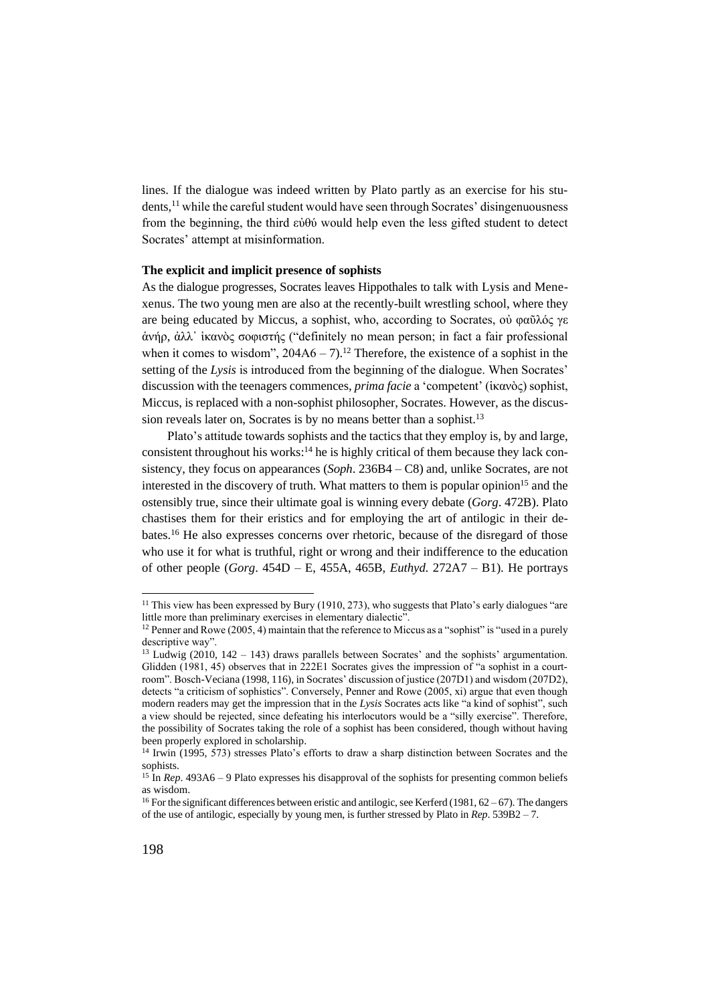lines. If the dialogue was indeed written by Plato partly as an exercise for his students,<sup>11</sup> while the careful student would have seen through Socrates' disingenuousness from the beginning, the third εὐθύ would help even the less gifted student to detect Socrates' attempt at misinformation.

### **The explicit and implicit presence of sophists**

As the dialogue progresses, Socrates leaves Hippothales to talk with Lysis and Menexenus. The two young men are also at the recently-built wrestling school, where they are being educated by Miccus, a sophist, who, according to Socrates, οὐ φαῦλός γε ἁνήρ, ἀλλ᾿ ἱκανὸς σοφιστής ("definitely no mean person; in fact a fair professional when it comes to wisdom",  $204A6 - 7$ ).<sup>12</sup> Therefore, the existence of a sophist in the setting of the *Lysis* is introduced from the beginning of the dialogue. When Socrates' discussion with the teenagers commences, *prima facie* a 'competent' (ἱκανὸς) sophist, Miccus, is replaced with a non-sophist philosopher, Socrates. However, as the discussion reveals later on, Socrates is by no means better than a sophist.<sup>13</sup>

Plato's attitude towards sophists and the tactics that they employ is, by and large, consistent throughout his works: $14$  he is highly critical of them because they lack consistency, they focus on appearances (*Soph*. 236B4 – C8) and, unlike Socrates, are not interested in the discovery of truth. What matters to them is popular opinion<sup>15</sup> and the ostensibly true, since their ultimate goal is winning every debate (*Gorg*. 472B). Plato chastises them for their eristics and for employing the art of antilogic in their debates.<sup>16</sup> He also expresses concerns over rhetoric, because of the disregard of those who use it for what is truthful, right or wrong and their indifference to the education of other people (*Gorg*. 454D – E, 455A, 465B, *Euthyd*. 272A7 – B1). He portrays

<sup>&</sup>lt;sup>11</sup> This view has been expressed by Bury (1910, 273), who suggests that Plato's early dialogues "are little more than preliminary exercises in elementary dialectic".

<sup>&</sup>lt;sup>12</sup> Penner and Rowe (2005, 4) maintain that the reference to Miccus as a "sophist" is "used in a purely descriptive way".

<sup>&</sup>lt;sup>13</sup> Ludwig (2010,  $142 - 143$ ) draws parallels between Socrates' and the sophists' argumentation. Glidden (1981, 45) observes that in 222E1 Socrates gives the impression of "a sophist in a courtroom". Bosch-Veciana (1998, 116), in Socrates' discussion of justice (207D1) and wisdom (207D2), detects "a criticism of sophistics". Conversely, Penner and Rowe (2005, xi) argue that even though modern readers may get the impression that in the *Lysis* Socrates acts like "a kind of sophist", such a view should be rejected, since defeating his interlocutors would be a "silly exercise". Therefore, the possibility of Socrates taking the role of a sophist has been considered, though without having been properly explored in scholarship.

<sup>14</sup> Irwin (1995, 573) stresses Plato's efforts to draw a sharp distinction between Socrates and the sophists.

<sup>&</sup>lt;sup>15</sup> In *Rep*. 493A6 – 9 Plato expresses his disapproval of the sophists for presenting common beliefs as wisdom.

<sup>&</sup>lt;sup>16</sup> For the significant differences between eristic and antilogic, see Kerferd (1981,  $62 - 67$ ). The dangers of the use of antilogic, especially by young men, is further stressed by Plato in *Rep*. 539B2 – 7.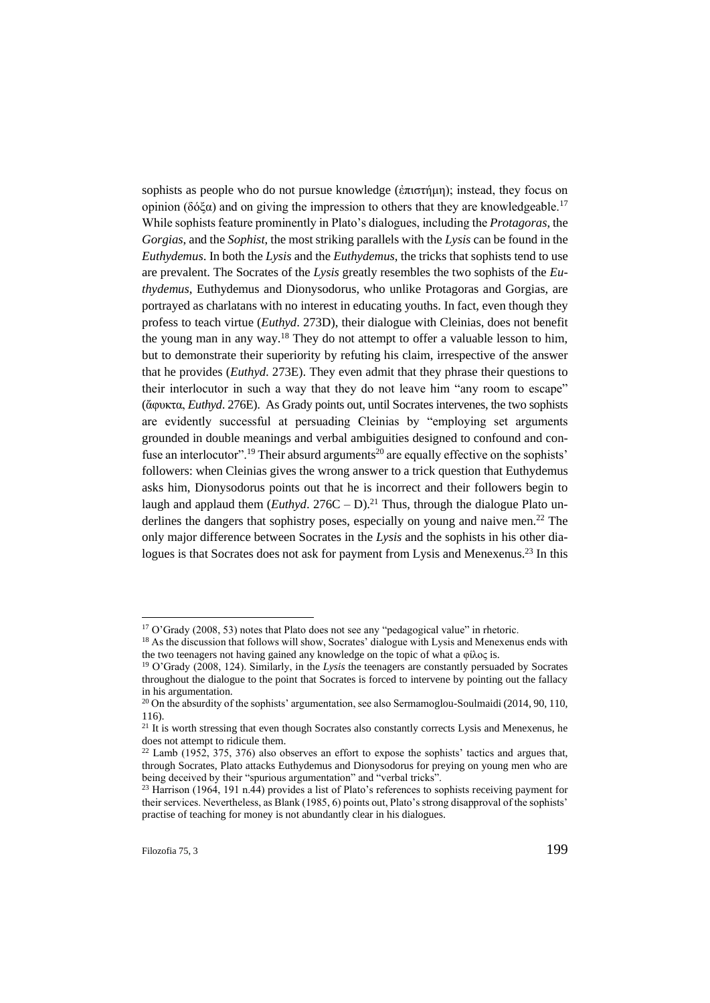sophists as people who do not pursue knowledge (ἐπιστήμη); instead, they focus on opinion (δόξα) and on giving the impression to others that they are knowledgeable.<sup>17</sup> While sophists feature prominently in Plato's dialogues, including the *Protagoras*, the *Gorgias*, and the *Sophist*, the most striking parallels with the *Lysis* can be found in the *Euthydemus*. In both the *Lysis* and the *Euthydemus*, the tricks that sophists tend to use are prevalent. The Socrates of the *Lysis* greatly resembles the two sophists of the *Euthydemus*, Euthydemus and Dionysodorus, who unlike Protagoras and Gorgias, are portrayed as charlatans with no interest in educating youths. In fact, even though they profess to teach virtue (*Euthyd*. 273D), their dialogue with Cleinias, does not benefit the young man in any way.<sup>18</sup> They do not attempt to offer a valuable lesson to him, but to demonstrate their superiority by refuting his claim, irrespective of the answer that he provides (*Euthyd*. 273E). They even admit that they phrase their questions to their interlocutor in such a way that they do not leave him "any room to escape" (ἄφυκτα, *Euthyd*. 276E). As Grady points out, until Socrates intervenes, the two sophists are evidently successful at persuading Cleinias by "employing set arguments grounded in double meanings and verbal ambiguities designed to confound and confuse an interlocutor".<sup>19</sup> Their absurd arguments<sup>20</sup> are equally effective on the sophists' followers: when Cleinias gives the wrong answer to a trick question that Euthydemus asks him, Dionysodorus points out that he is incorrect and their followers begin to laugh and applaud them  $(Euthyd. 276C - D)^{21}$  Thus, through the dialogue Plato underlines the dangers that sophistry poses, especially on young and naive men.<sup>22</sup> The only major difference between Socrates in the *Lysis* and the sophists in his other dialogues is that Socrates does not ask for payment from Lysis and Menexenus.<sup>23</sup> In this

<sup>&</sup>lt;sup>17</sup> O'Grady (2008, 53) notes that Plato does not see any "pedagogical value" in rhetoric.

<sup>&</sup>lt;sup>18</sup> As the discussion that follows will show, Socrates' dialogue with Lysis and Menexenus ends with the two teenagers not having gained any knowledge on the topic of what a φίλος is.

<sup>19</sup> O'Grady (2008, 124). Similarly, in the *Lysis* the teenagers are constantly persuaded by Socrates throughout the dialogue to the point that Socrates is forced to intervene by pointing out the fallacy in his argumentation.

<sup>&</sup>lt;sup>20</sup> On the absurdity of the sophists' argumentation, see also Sermamoglou-Soulmaidi (2014, 90, 110, 116).

<sup>&</sup>lt;sup>21</sup> It is worth stressing that even though Socrates also constantly corrects Lysis and Menexenus, he does not attempt to ridicule them.

<sup>&</sup>lt;sup>22</sup> Lamb (1952, 375, 376) also observes an effort to expose the sophists' tactics and argues that, through Socrates, Plato attacks Euthydemus and Dionysodorus for preying on young men who are being deceived by their "spurious argumentation" and "verbal tricks".

<sup>&</sup>lt;sup>23</sup> Harrison (1964, 191 n.44) provides a list of Plato's references to sophists receiving payment for their services. Nevertheless, as Blank (1985, 6) points out, Plato's strong disapproval of the sophists' practise of teaching for money is not abundantly clear in his dialogues.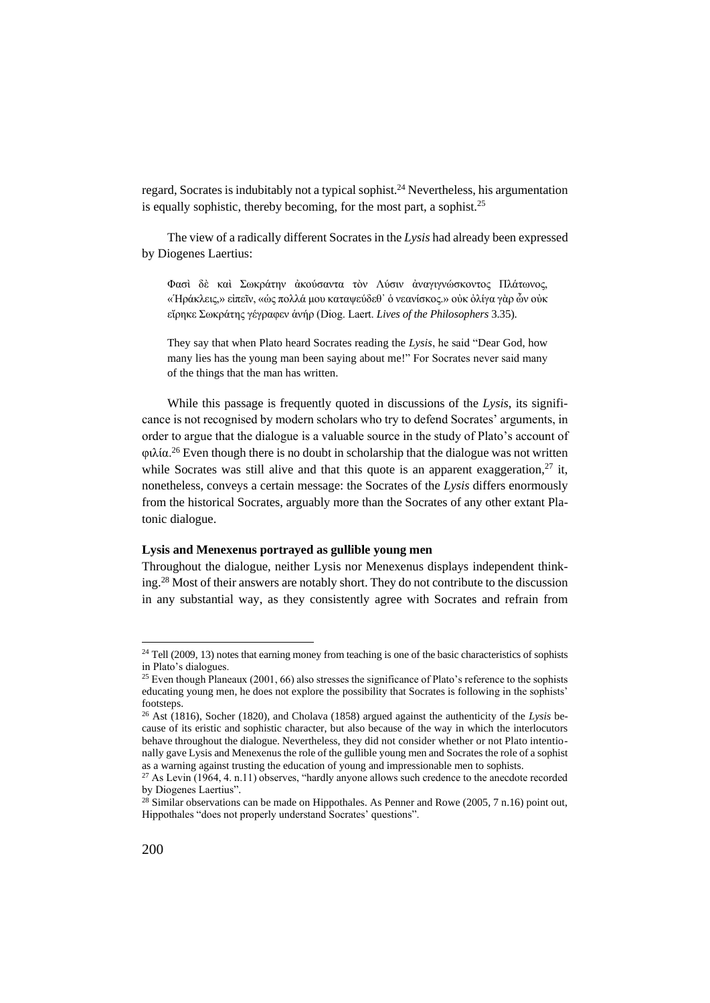regard, Socrates is indubitably not a typical sophist.<sup>24</sup> Nevertheless, his argumentation is equally sophistic, thereby becoming, for the most part, a sophist.<sup>25</sup>

The view of a radically different Socrates in the *Lysis* had already been expressed by Diogenes Laertius:

Φασὶ δὲ καὶ Σωκράτην ἀκούσαντα τὸν Λύσιν ἀναγιγνώσκοντος Πλάτωνος, «Ἡράκλεις,» εἰπεῖν, «ὡς πολλά μου καταψεύδεθ᾿ ὁ νεανίσκος.» οὐκ ὀλίγα γὰρ ὧν οὐκ εἴρηκε Σωκράτης γέγραφεν ἁνήρ (Diog. Laert. *Lives of the Philosophers* 3.35).

They say that when Plato heard Socrates reading the *Lysis*, he said "Dear God, how many lies has the young man been saying about me!" For Socrates never said many of the things that the man has written.

While this passage is frequently quoted in discussions of the *Lysis*, its significance is not recognised by modern scholars who try to defend Socrates' arguments, in order to argue that the dialogue is a valuable source in the study of Plato's account of  $\phi$ ιλία.<sup>26</sup> Even though there is no doubt in scholarship that the dialogue was not written while Socrates was still alive and that this quote is an apparent exaggeration, $27$  it, nonetheless, conveys a certain message: the Socrates of the *Lysis* differs enormously from the historical Socrates, arguably more than the Socrates of any other extant Platonic dialogue.

#### **Lysis and Menexenus portrayed as gullible young men**

Throughout the dialogue, neither Lysis nor Menexenus displays independent thinking.<sup>28</sup> Most of their answers are notably short. They do not contribute to the discussion in any substantial way, as they consistently agree with Socrates and refrain from

<sup>&</sup>lt;sup>24</sup> Tell (2009, 13) notes that earning money from teaching is one of the basic characteristics of sophists in Plato's dialogues.

<sup>&</sup>lt;sup>25</sup> Even though Planeaux (2001, 66) also stresses the significance of Plato's reference to the sophists educating young men, he does not explore the possibility that Socrates is following in the sophists' footsteps.

<sup>26</sup> Ast (1816), Socher (1820), and Cholava (1858) argued against the authenticity of the *Lysis* because of its eristic and sophistic character, but also because of the way in which the interlocutors behave throughout the dialogue. Nevertheless, they did not consider whether or not Plato intentionally gave Lysis and Menexenus the role of the gullible young men and Socrates the role of a sophist as a warning against trusting the education of young and impressionable men to sophists.

<sup>&</sup>lt;sup>27</sup> As Levin (1964, 4. n.11) observes, "hardly anyone allows such credence to the anecdote recorded by Diogenes Laertius".

<sup>&</sup>lt;sup>28</sup> Similar observations can be made on Hippothales. As Penner and Rowe (2005, 7 n.16) point out, Hippothales "does not properly understand Socrates' questions".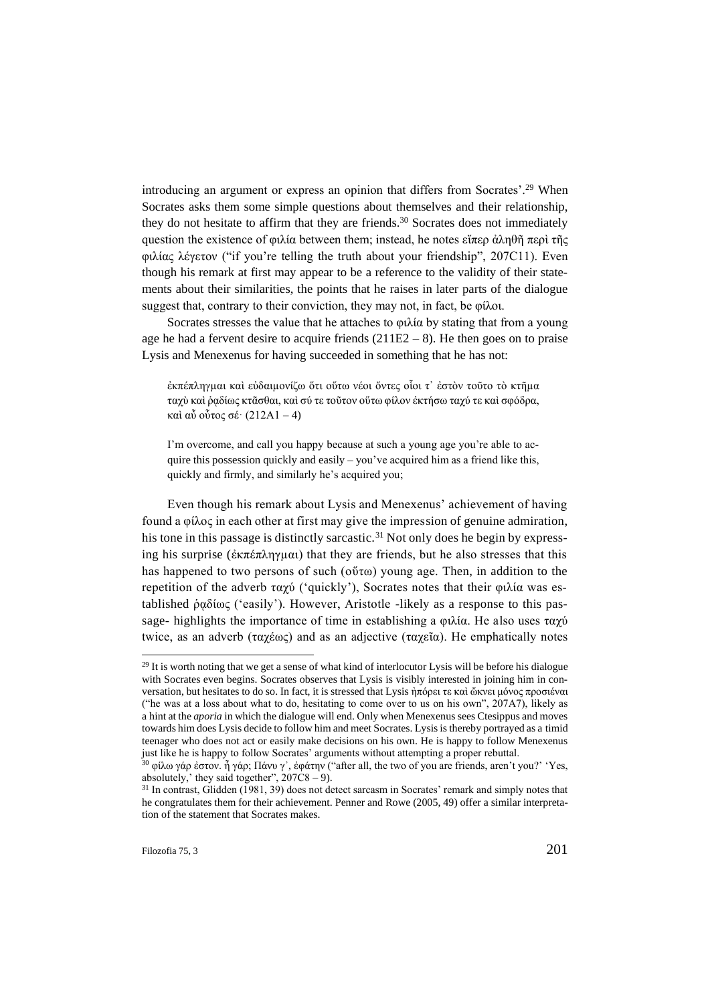introducing an argument or express an opinion that differs from Socrates'.<sup>29</sup> When Socrates asks them some simple questions about themselves and their relationship, they do not hesitate to affirm that they are friends.<sup>30</sup> Socrates does not immediately question the existence of φιλία between them; instead, he notes εἴπερ ἀληθῆ περὶ τῆς φιλίας λέγετον ("if you're telling the truth about your friendship", 207C11). Even though his remark at first may appear to be a reference to the validity of their statements about their similarities, the points that he raises in later parts of the dialogue suggest that, contrary to their conviction, they may not, in fact, be φίλοι.

Socrates stresses the value that he attaches to φιλία by stating that from a young age he had a fervent desire to acquire friends  $(211E2 - 8)$ . He then goes on to praise Lysis and Menexenus for having succeeded in something that he has not:

ἐκπέπληγµαι καὶ εὐδαιµονίζω ὅτι οὕτω νέοι ὄντες οἷοι τ᾽ ἐστὸν τοῦτο τὸ κτῆµα ταχὺ καὶ ῥᾳδίως κτᾶσθαι, καὶ σύ τε τοῦτον οὕτω φίλον ἐκτήσω ταχύ τε καὶ σφόδρα, καὶ αὖ οὗτος σέ· (212A1 – 4)

I'm overcome, and call you happy because at such a young age you're able to acquire this possession quickly and easily – you've acquired him as a friend like this, quickly and firmly, and similarly he's acquired you;

Even though his remark about Lysis and Menexenus' achievement of having found a φίλος in each other at first may give the impression of genuine admiration, his tone in this passage is distinctly sarcastic.<sup>31</sup> Not only does he begin by expressing his surprise (ἐκπέπληγµαι) that they are friends, but he also stresses that this has happened to two persons of such (οὕτω) young age. Then, in addition to the repetition of the adverb ταχύ ('quickly'), Socrates notes that their φιλία was established ῥᾳδίως ('easily'). However, Aristotle -likely as a response to this passage- highlights the importance of time in establishing a φιλία. He also uses ταχύ twice, as an adverb (ταχέως) and as an adjective (ταχεῖα). He emphatically notes

 $29$  It is worth noting that we get a sense of what kind of interlocutor Lysis will be before his dialogue with Socrates even begins. Socrates observes that Lysis is visibly interested in joining him in conversation, but hesitates to do so. In fact, it is stressed that Lysis ἠπόρει τε καὶ ὤκνει μόνος προσιέναι ("he was at a loss about what to do, hesitating to come over to us on his own", 207A7), likely as a hint at the *aporia* in which the dialogue will end. Only when Menexenus sees Ctesippus and moves towards him does Lysis decide to follow him and meet Socrates. Lysis is thereby portrayed as a timid teenager who does not act or easily make decisions on his own. He is happy to follow Menexenus just like he is happy to follow Socrates' arguments without attempting a proper rebuttal.

<sup>&</sup>lt;sup>30</sup> φίλω γάρ ἐστον. ἦ γάρ; Πάνυ γ', ἐφάτην ("after all, the two of you are friends, aren't you?' 'Yes, absolutely,' they said together",  $207C8 - 9$ ).

<sup>&</sup>lt;sup>31</sup> In contrast, Glidden (1981, 39) does not detect sarcasm in Socrates' remark and simply notes that he congratulates them for their achievement. Penner and Rowe (2005, 49) offer a similar interpretation of the statement that Socrates makes.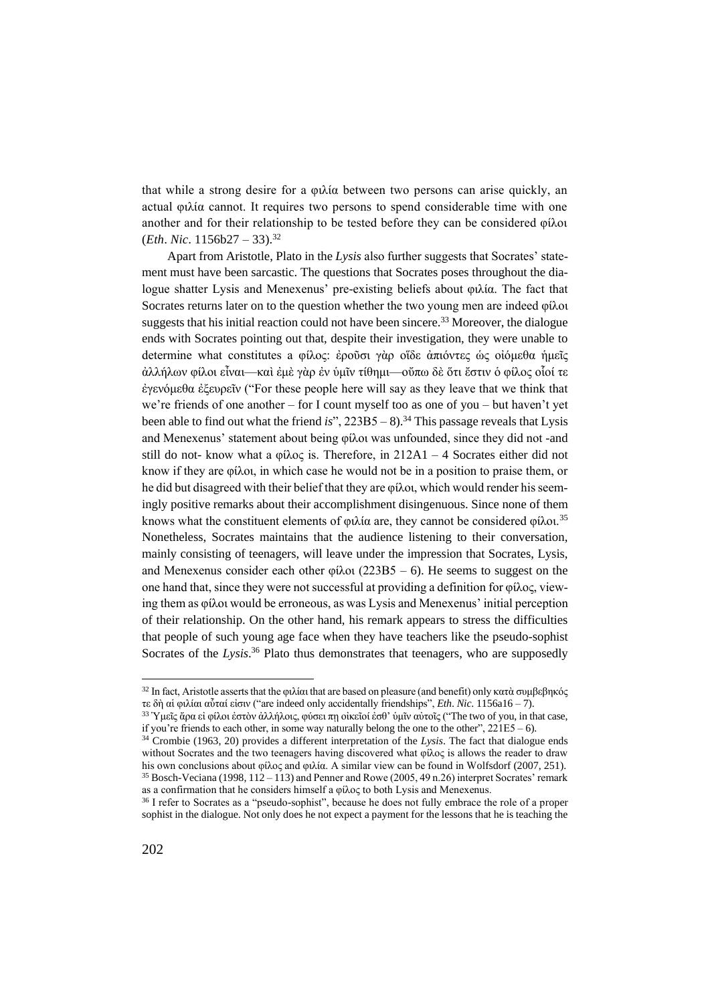that while a strong desire for a φιλία between two persons can arise quickly, an actual φιλία cannot. It requires two persons to spend considerable time with one another and for their relationship to be tested before they can be considered φίλοι (*Eth*. *Nic*. 1156b27 – 33).<sup>32</sup>

Apart from Aristotle, Plato in the *Lysis* also further suggests that Socrates' statement must have been sarcastic. The questions that Socrates poses throughout the dialogue shatter Lysis and Menexenus' pre-existing beliefs about φιλία. The fact that Socrates returns later on to the question whether the two young men are indeed φίλοι suggests that his initial reaction could not have been sincere.<sup>33</sup> Moreover, the dialogue ends with Socrates pointing out that, despite their investigation, they were unable to determine what constitutes a φίλος: ἐροῦσι γὰρ οἴδε ἀπιόντες ὡς οἰόμεθα ἡμεῖς ἀλλήλων φίλοι εἶναι—καὶ ἐμὲ γὰρ ἐν ὑμῖν τίθημι—οὔπω δὲ ὅτι ἔστιν ὁ φίλος οἷοί τε ἐγενόμεθα ἐξευρεῖν ("For these people here will say as they leave that we think that we're friends of one another – for I count myself too as one of you – but haven't yet been able to find out what the friend  $is$ ",  $223B5 - 8$ ).<sup>34</sup> This passage reveals that Lysis and Menexenus' statement about being φίλοι was unfounded, since they did not -and still do not- know what a φίλος is. Therefore, in  $212A1 - 4$  Socrates either did not know if they are φίλοι, in which case he would not be in a position to praise them, or he did but disagreed with their belief that they are φίλοι, which would render his seemingly positive remarks about their accomplishment disingenuous. Since none of them knows what the constituent elements of φιλία are, they cannot be considered φίλοι.<sup>35</sup> Nonetheless, Socrates maintains that the audience listening to their conversation, mainly consisting of teenagers, will leave under the impression that Socrates, Lysis, and Menexenus consider each other φίλοι (223B5 – 6). He seems to suggest on the one hand that, since they were not successful at providing a definition for φίλος, viewing them as φίλοι would be erroneous, as was Lysis and Menexenus' initial perception of their relationship. On the other hand, his remark appears to stress the difficulties that people of such young age face when they have teachers like the pseudo-sophist Socrates of the *Lysis*.<sup>36</sup> Plato thus demonstrates that teenagers, who are supposedly

<sup>&</sup>lt;sup>32</sup> In fact, Aristotle asserts that the φιλίαι that are based on pleasure (and benefit) only κατὰ συμβεβηκός τε δὴ αἱ φιλίαι αὗταί εἰσιν ("are indeed only accidentally friendships", *Eth*. *Nic*. 1156a16 – 7).

<sup>&</sup>lt;sup>33</sup> Υμεῖς ἄρα εἰ φίλοι ἐστὸν ἀλλήλοις, φύσει πῃ οἰκεῖοί ἐσθ' ὑμῖν αὐτοῖς ("The two of you, in that case, if you're friends to each other, in some way naturally belong the one to the other",  $221E5 - 6$ ).

<sup>34</sup> Crombie (1963, 20) provides a different interpretation of the *Lysis*. The fact that dialogue ends without Socrates and the two teenagers having discovered what φίλος is allows the reader to draw his own conclusions about φίλος and φιλία. A similar view can be found in Wolfsdorf (2007, 251). <sup>35</sup> Bosch-Veciana (1998, 112 – 113) and Penner and Rowe (2005, 49 n.26) interpret Socrates' remark as a confirmation that he considers himself a φίλος to both Lysis and Menexenus.

<sup>36</sup> I refer to Socrates as a "pseudo-sophist", because he does not fully embrace the role of a proper sophist in the dialogue. Not only does he not expect a payment for the lessons that he is teaching the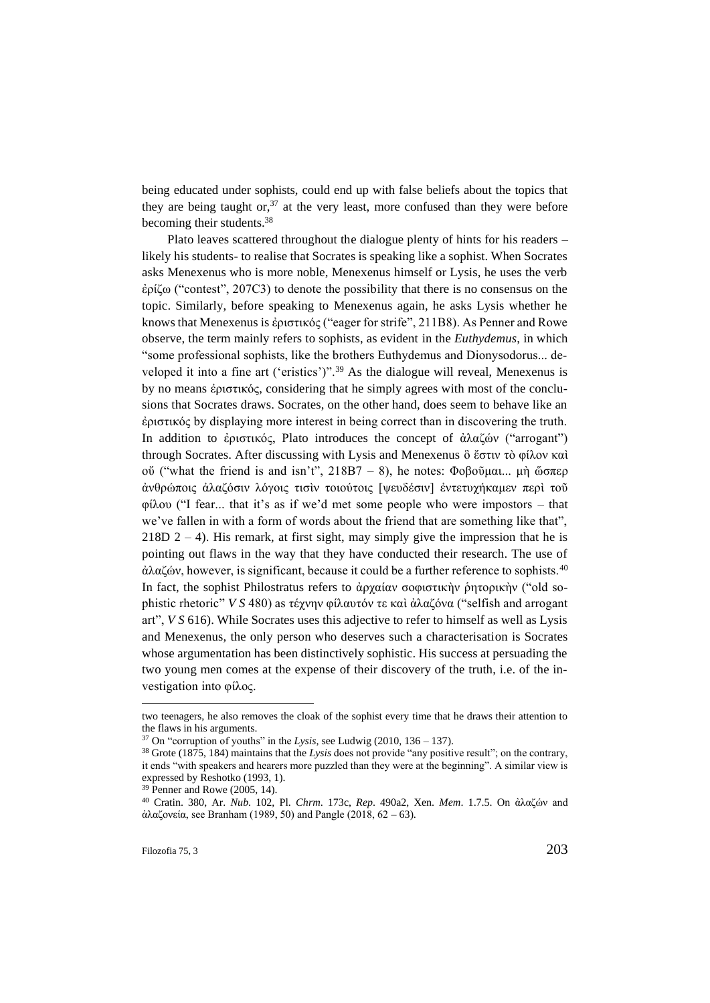being educated under sophists, could end up with false beliefs about the topics that they are being taught or,  $37$  at the very least, more confused than they were before becoming their students.<sup>38</sup>

Plato leaves scattered throughout the dialogue plenty of hints for his readers – likely his students- to realise that Socrates is speaking like a sophist. When Socrates asks Menexenus who is more noble, Menexenus himself or Lysis, he uses the verb ἐρίζω ("contest", 207C3) to denote the possibility that there is no consensus on the topic. Similarly, before speaking to Menexenus again, he asks Lysis whether he knows that Menexenus is ἐριστικός ("eager for strife", 211B8). As Penner and Rowe observe, the term mainly refers to sophists, as evident in the *Euthydemus*, in which "some professional sophists, like the brothers Euthydemus and Dionysodorus... developed it into a fine art ('eristics')".<sup>39</sup> As the dialogue will reveal, Menexenus is by no means ἐριστικός, considering that he simply agrees with most of the conclusions that Socrates draws. Socrates, on the other hand, does seem to behave like an ἐριστικός by displaying more interest in being correct than in discovering the truth. In addition to ἐριστικός, Plato introduces the concept of ἀλαζών ("arrogant") through Socrates. After discussing with Lysis and Menexenus ὃ ἔστιν τὸ φίλον καὶ οὔ ("what the friend is and isn't", 218B7 – 8), he notes: Φοβοῦμαι... μὴ ὥσπερ ἀνθρώποις ἀλαζόσιν λόγοις τισὶν τοιούτοις [ψευδέσιν] ἐντετυχήκαμεν περὶ τοῦ φίλου ("I fear... that it's as if we'd met some people who were impostors – that we've fallen in with a form of words about the friend that are something like that",  $218D 2 - 4$ ). His remark, at first sight, may simply give the impression that he is pointing out flaws in the way that they have conducted their research. The use of  $\dot{\alpha}$ λαζών, however, is significant, because it could be a further reference to sophists.<sup>40</sup> In fact, the sophist Philostratus refers to ἀρχαίαν σοφιστικὴν ῥητορικὴν ("old sophistic rhetoric" *V S* 480) as τέχνην φίλαυτόν τε καὶ ἀλαζόνα ("selfish and arrogant art", *V S* 616). While Socrates uses this adjective to refer to himself as well as Lysis and Menexenus, the only person who deserves such a characterisation is Socrates whose argumentation has been distinctively sophistic. His success at persuading the two young men comes at the expense of their discovery of the truth, i.e. of the investigation into φίλος.

two teenagers, he also removes the cloak of the sophist every time that he draws their attention to the flaws in his arguments.

 $37$  On "corruption of youths" in the *Lysis*, see Ludwig (2010, 136 – 137).

<sup>38</sup> Grote (1875, 184) maintains that the *Lysis* does not provide "any positive result"; on the contrary, it ends "with speakers and hearers more puzzled than they were at the beginning". A similar view is expressed by Reshotko (1993, 1).

 $39$  Penner and Rowe (2005, 14).

<sup>40</sup> Cratin. 380, Ar. *Nub*. 102, Pl. *Chrm*. 173c, *Rep*. 490a2, Xen. *Mem*. 1.7.5. On ἀλαζών and ἀλαζονεία, see Branham (1989, 50) and Pangle (2018, 62 – 63).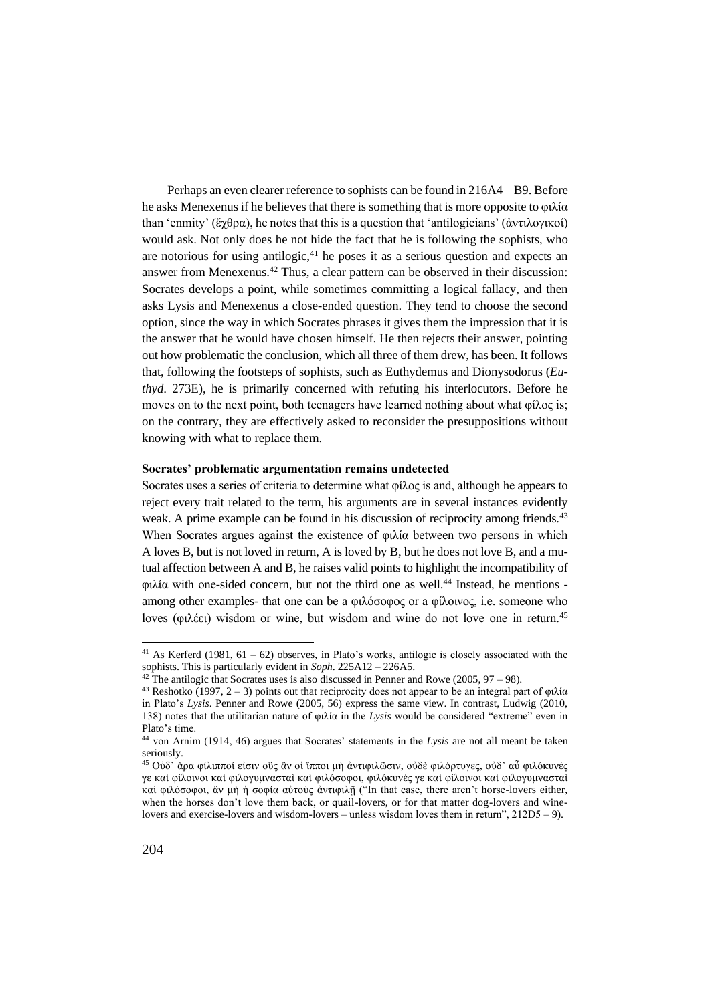Perhaps an even clearer reference to sophists can be found in 216A4 – B9. Before he asks Menexenus if he believes that there is something that is more opposite to φιλία than 'enmity' (ἔχθρα), he notes that this is a question that 'antilogicians' (ἀντιλογικοί) would ask. Not only does he not hide the fact that he is following the sophists, who are notorious for using antilogic, $41$  he poses it as a serious question and expects an answer from Menexenus.<sup>42</sup> Thus, a clear pattern can be observed in their discussion: Socrates develops a point, while sometimes committing a logical fallacy, and then asks Lysis and Menexenus a close-ended question. They tend to choose the second option, since the way in which Socrates phrases it gives them the impression that it is the answer that he would have chosen himself. He then rejects their answer, pointing out how problematic the conclusion, which all three of them drew, has been. It follows that, following the footsteps of sophists, such as Euthydemus and Dionysodorus (*Euthyd*. 273E), he is primarily concerned with refuting his interlocutors. Before he moves on to the next point, both teenagers have learned nothing about what  $\varphi(\lambda)$  is; on the contrary, they are effectively asked to reconsider the presuppositions without knowing with what to replace them.

#### **Socrates' problematic argumentation remains undetected**

Socrates uses a series of criteria to determine what φίλος is and, although he appears to reject every trait related to the term, his arguments are in several instances evidently weak. A prime example can be found in his discussion of reciprocity among friends.<sup>43</sup> When Socrates argues against the existence of φιλία between two persons in which A loves B, but is not loved in return, A is loved by B, but he does not love B, and a mutual affection between A and B, he raises valid points to highlight the incompatibility of φιλία with one-sided concern, but not the third one as well.<sup>44</sup> Instead, he mentions among other examples- that one can be a φιλόσοφος or a φίλοινος, i.e. someone who loves (φιλέει) wisdom or wine, but wisdom and wine do not love one in return.<sup>45</sup>

<sup>&</sup>lt;sup>41</sup> As Kerferd (1981,  $61 - 62$ ) observes, in Plato's works, antilogic is closely associated with the sophists. This is particularly evident in *Soph*. 225A12 – 226A5.

 $42$  The antilogic that Socrates uses is also discussed in Penner and Rowe (2005, 97 – 98).

<sup>&</sup>lt;sup>43</sup> Reshotko (1997, 2 – 3) points out that reciprocity does not appear to be an integral part of φιλία in Plato's *Lysis*. Penner and Rowe (2005, 56) express the same view. In contrast, Ludwig (2010, 138) notes that the utilitarian nature of φιλία in the *Lysis* would be considered "extreme" even in Plato's time.

<sup>44</sup> von Arnim (1914, 46) argues that Socrates' statements in the *Lysis* are not all meant be taken seriously.

<sup>&</sup>lt;sup>45</sup> Οὐδ' ἄρα φίλιπποί εἰσιν οὓς ἂν οἱ ἵπποι μὴ ἀντιφιλῶσιν, οὐδὲ φιλόρτυγες, οὐδ' αὖ φιλόκυνές γε καὶ φίλοινοι καὶ φιλογυμνασταὶ καὶ φιλόσοφοι, φιλόκυνές γε καὶ φίλοινοι καὶ φιλογυμνασταὶ καὶ φιλόσοφοι, ἂν μὴ ἡ σοφία αὐτοὺς ἀντιφιλῇ ("In that case, there aren't horse-lovers either, when the horses don't love them back, or quail-lovers, or for that matter dog-lovers and winelovers and exercise-lovers and wisdom-lovers – unless wisdom loves them in return", 212D5 – 9).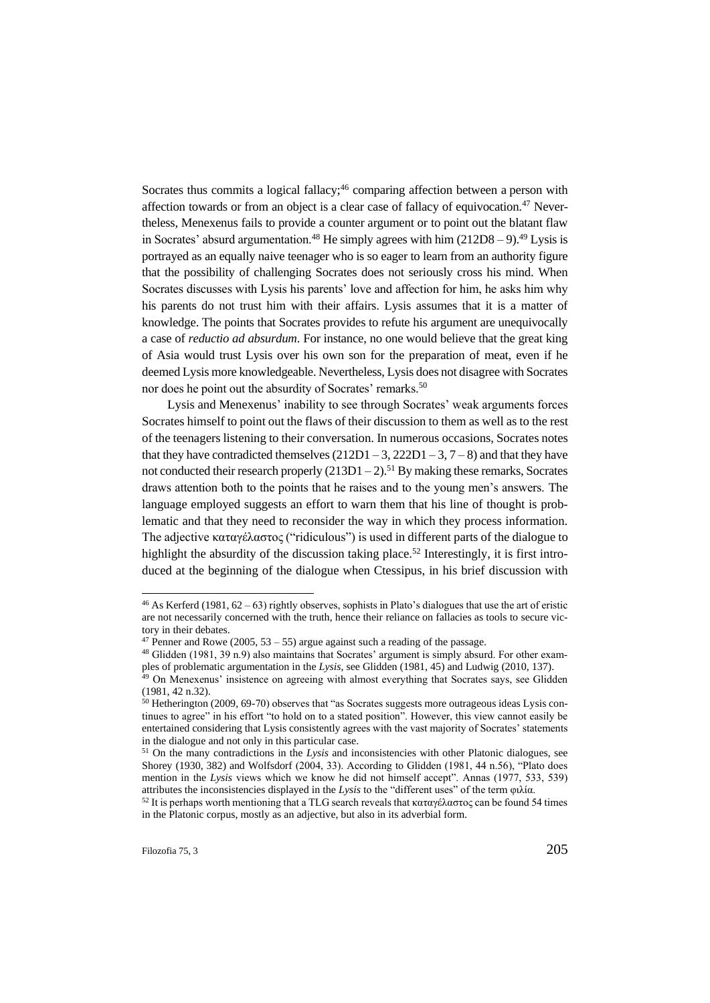Socrates thus commits a logical fallacy;<sup>46</sup> comparing affection between a person with affection towards or from an object is a clear case of fallacy of equivocation.<sup>47</sup> Nevertheless, Menexenus fails to provide a counter argument or to point out the blatant flaw in Socrates' absurd argumentation.<sup>48</sup> He simply agrees with him  $(212D8 - 9)$ .<sup>49</sup> Lysis is portrayed as an equally naive teenager who is so eager to learn from an authority figure that the possibility of challenging Socrates does not seriously cross his mind. When Socrates discusses with Lysis his parents' love and affection for him, he asks him why his parents do not trust him with their affairs. Lysis assumes that it is a matter of knowledge. The points that Socrates provides to refute his argument are unequivocally a case of *reductio ad absurdum*. For instance, no one would believe that the great king of Asia would trust Lysis over his own son for the preparation of meat, even if he deemed Lysis more knowledgeable. Nevertheless, Lysis does not disagree with Socrates nor does he point out the absurdity of Socrates' remarks.<sup>50</sup>

Lysis and Menexenus' inability to see through Socrates' weak arguments forces Socrates himself to point out the flaws of their discussion to them as well as to the rest of the teenagers listening to their conversation. In numerous occasions, Socrates notes that they have contradicted themselves  $(212D1 - 3, 222D1 - 3, 7 - 8)$  and that they have not conducted their research properly  $(213D1 - 2)$ .<sup>51</sup> By making these remarks, Socrates draws attention both to the points that he raises and to the young men's answers. The language employed suggests an effort to warn them that his line of thought is problematic and that they need to reconsider the way in which they process information. The adjective καταγέλαστος ("ridiculous") is used in different parts of the dialogue to highlight the absurdity of the discussion taking place.<sup>52</sup> Interestingly, it is first introduced at the beginning of the dialogue when Ctessipus, in his brief discussion with

<sup>&</sup>lt;sup>46</sup> As Kerferd (1981,  $62 - 63$ ) rightly observes, sophists in Plato's dialogues that use the art of eristic are not necessarily concerned with the truth, hence their reliance on fallacies as tools to secure victory in their debates.

<sup>&</sup>lt;sup>47</sup> Penner and Rowe (2005, 53 – 55) argue against such a reading of the passage.

 $48$  Glidden (1981, 39 n.9) also maintains that Socrates' argument is simply absurd. For other examples of problematic argumentation in the *Lysis*, see Glidden (1981, 45) and Ludwig (2010, 137). <sup>49</sup> On Menexenus' insistence on agreeing with almost everything that Socrates says, see Glidden

<sup>(1981, 42</sup> n.32).

<sup>50</sup> Hetherington (2009, 69-70) observes that "as Socrates suggests more outrageous ideas Lysis continues to agree" in his effort "to hold on to a stated position". However, this view cannot easily be entertained considering that Lysis consistently agrees with the vast majority of Socrates' statements in the dialogue and not only in this particular case.

<sup>51</sup> On the many contradictions in the *Lysis* and inconsistencies with other Platonic dialogues, see Shorey (1930, 382) and Wolfsdorf (2004, 33). According to Glidden (1981, 44 n.56), "Plato does mention in the *Lysis* views which we know he did not himself accept". Annas (1977, 533, 539) attributes the inconsistencies displayed in the *Lysis* to the "different uses" of the term φιλία.

<sup>&</sup>lt;sup>52</sup> It is perhaps worth mentioning that a TLG search reveals that καταγέλαστος can be found 54 times in the Platonic corpus, mostly as an adjective, but also in its adverbial form.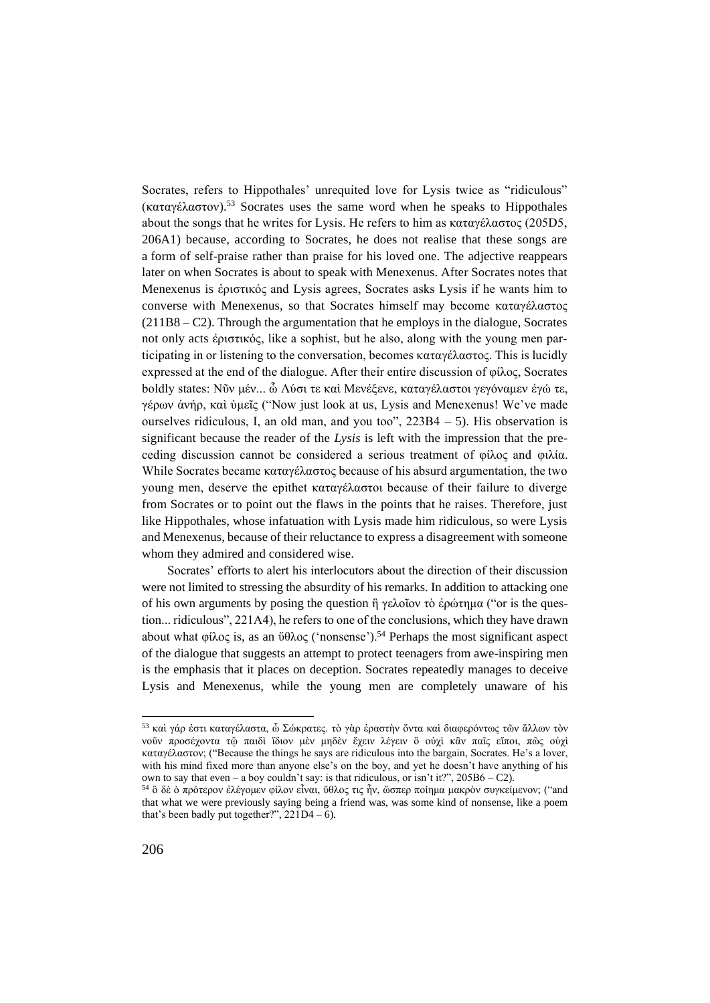Socrates, refers to Hippothales' unrequited love for Lysis twice as "ridiculous" (καταγέλαστον).<sup>53</sup> Socrates uses the same word when he speaks to Hippothales about the songs that he writes for Lysis. He refers to him as καταγέλαστος (205D5, 206A1) because, according to Socrates, he does not realise that these songs are a form of self-praise rather than praise for his loved one. The adjective reappears later on when Socrates is about to speak with Menexenus. After Socrates notes that Menexenus is ἐριστικός and Lysis agrees, Socrates asks Lysis if he wants him to converse with Menexenus, so that Socrates himself may become καταγέλαστος (211B8 – C2). Through the argumentation that he employs in the dialogue, Socrates not only acts ἐριστικός, like a sophist, but he also, along with the young men participating in or listening to the conversation, becomes καταγέλαστος. This is lucidly expressed at the end of the dialogue. After their entire discussion of φίλος, Socrates boldly states: Νῦν μέν... ὦ Λύσι τε καὶ Μενέξενε, καταγέλαστοι γεγόναμεν ἐγώ τε, γέρων ἀνήρ, καὶ ὑμεῖς ("Now just look at us, Lysis and Menexenus! We've made ourselves ridiculous, I, an old man, and you too", 223B4 – 5). His observation is significant because the reader of the *Lysis* is left with the impression that the preceding discussion cannot be considered a serious treatment of φίλος and φιλία. While Socrates became καταγέλαστος because of his absurd argumentation, the two young men, deserve the epithet καταγέλαστοι because of their failure to diverge from Socrates or to point out the flaws in the points that he raises. Therefore, just like Hippothales, whose infatuation with Lysis made him ridiculous, so were Lysis and Menexenus, because of their reluctance to express a disagreement with someone whom they admired and considered wise.

Socrates' efforts to alert his interlocutors about the direction of their discussion were not limited to stressing the absurdity of his remarks. In addition to attacking one of his own arguments by posing the question ἢ γελοῖον τὸ ἐρώτημα ("or is the question... ridiculous", 221A4), he refers to one of the conclusions, which they have drawn about what φίλος is, as an  $\theta \theta \lambda$ ος ('nonsense').<sup>54</sup> Perhaps the most significant aspect of the dialogue that suggests an attempt to protect teenagers from awe-inspiring men is the emphasis that it places on deception. Socrates repeatedly manages to deceive Lysis and Menexenus, while the young men are completely unaware of his

 $^{53}$ καὶ γάρ ἐστι καταγέλαστα, ὦ Σώκρατες. τὸ γὰρ ἐραστὴν ὅντα καὶ διαφερόντως τῶν ἄλλων τὸν νοῦν προσέχοντα τῷ παιδὶ ἴδιον μὲν μηδὲν ἔχειν λέγειν ὃ οὐχὶ κἂν παῖς εἴποι, πῶς οὐχὶ καταγέλαστον; ("Because the things he says are ridiculous into the bargain, Socrates. He's a lover, with his mind fixed more than anyone else's on the boy, and yet he doesn't have anything of his own to say that even – a boy couldn't say: is that ridiculous, or isn't it?",  $205B6 - C2$ ).

<sup>54</sup> ὃ δὲ ὸ πρότερον ἐλέγομεν φίλον εἶναι, ὕθλος τις ἦν, ὥσπερ ποίημα μακρὸν συγκείμενον; ("and that what we were previously saying being a friend was, was some kind of nonsense, like a poem that's been badly put together?",  $221D4 - 6$ ).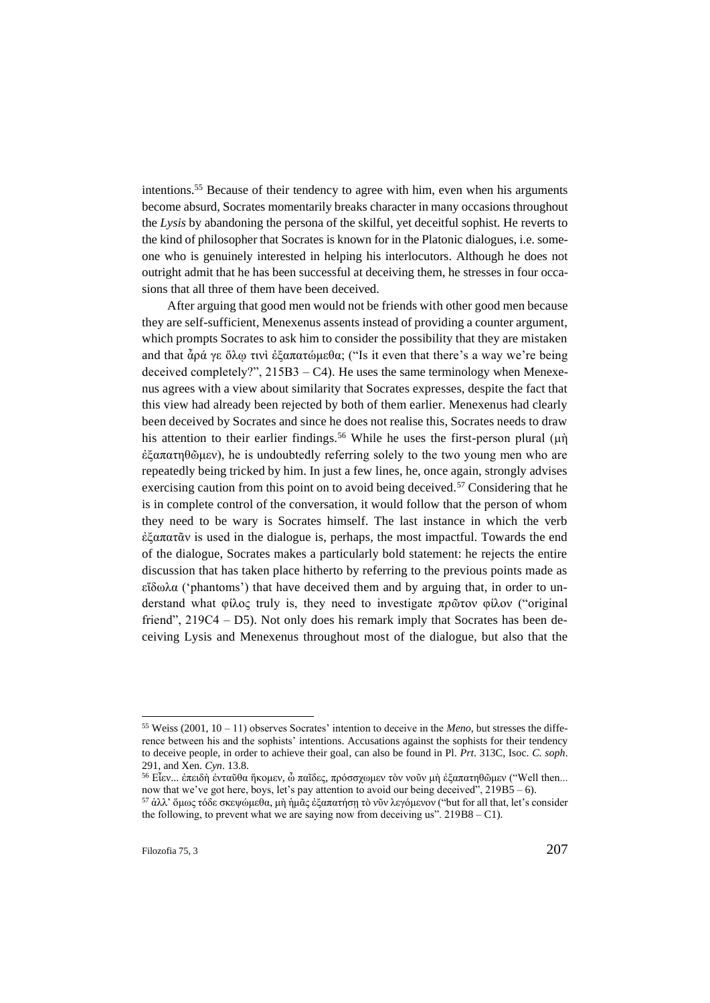intentions.<sup>55</sup> Because of their tendency to agree with him, even when his arguments become absurd, Socrates momentarily breaks character in many occasions throughout the *Lysis* by abandoning the persona of the skilful, yet deceitful sophist. He reverts to the kind of philosopher that Socrates is known for in the Platonic dialogues, i.e. someone who is genuinely interested in helping his interlocutors. Although he does not outright admit that he has been successful at deceiving them, he stresses in four occasions that all three of them have been deceived.

After arguing that good men would not be friends with other good men because they are self-sufficient, Menexenus assents instead of providing a counter argument, which prompts Socrates to ask him to consider the possibility that they are mistaken and that ἆρά γε ὅλῳ τινὶ ἐξαπατώμεθα; ("Is it even that there's a way we're being deceived completely?",  $215B3 - C4$ ). He uses the same terminology when Menexenus agrees with a view about similarity that Socrates expresses, despite the fact that this view had already been rejected by both of them earlier. Menexenus had clearly been deceived by Socrates and since he does not realise this, Socrates needs to draw his attention to their earlier findings.<sup>56</sup> While he uses the first-person plural  $(\mu \dot{\eta})$ ἐξαπατηθῶμεν), he is undoubtedly referring solely to the two young men who are repeatedly being tricked by him. In just a few lines, he, once again, strongly advises exercising caution from this point on to avoid being deceived.<sup>57</sup> Considering that he is in complete control of the conversation, it would follow that the person of whom they need to be wary is Socrates himself. The last instance in which the verb ἐξαπατᾶν is used in the dialogue is, perhaps, the most impactful. Towards the end of the dialogue, Socrates makes a particularly bold statement: he rejects the entire discussion that has taken place hitherto by referring to the previous points made as εἴδωλα ('phantoms') that have deceived them and by arguing that, in order to understand what φίλος truly is, they need to investigate πρῶτον φίλον ("original friend",  $219C4 - D5$ ). Not only does his remark imply that Socrates has been deceiving Lysis and Menexenus throughout most of the dialogue, but also that the

<sup>55</sup> Weiss (2001, 10 – 11) observes Socrates' intention to deceive in the *Meno*, but stresses the difference between his and the sophists' intentions. Accusations against the sophists for their tendency to deceive people, in order to achieve their goal, can also be found in Pl. *Prt*. 313C, Isoc. *C. soph*. 291, and Xen. *Cyn*. 13.8.

<sup>56</sup> Εἶεν... ἐπειδὴ ἐνταῦθα ἥκομεν, ὦ παῖδες, πρόσσχωμεν τὸν νοῦν μὴ ἐξαπατηθῶμεν ("Well then... now that we've got here, boys, let's pay attention to avoid our being deceived",  $219B5 - 6$ ).

<sup>&</sup>lt;sup>57</sup> ἀλλ' ὅμως τόδε σκεψώμεθα, μὴ ἡμᾶς ἐξαπατήση τὸ νῦν λεγόμενον ("but for all that, let's consider the following, to prevent what we are saying now from deceiving us".  $219B8 - C1$ ).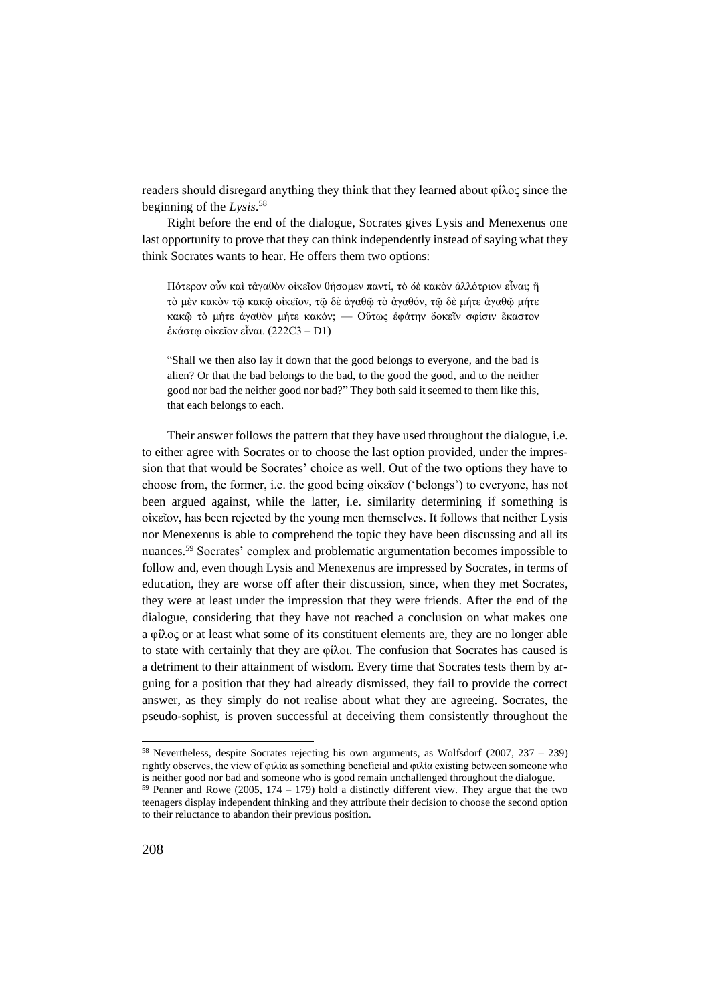readers should disregard anything they think that they learned about φίλος since the beginning of the *Lysis*. 58

Right before the end of the dialogue, Socrates gives Lysis and Menexenus one last opportunity to prove that they can think independently instead of saying what they think Socrates wants to hear. He offers them two options:

Πότερον οὖν καὶ τἀγαθὸν οἰκεῖον θήσομεν παντί, τὸ δὲ κακὸν ἀλλότριον εἶναι; ἢ τὸ μὲν κακὸν τῷ κακῷ οἰκεῖον, τῷ δὲ ἀγαθῷ τὸ ἀγαθόν, τῷ δὲ μήτε ἀγαθῷ μήτε κακῷ τὸ μήτε ἀγαθὸν μήτε κακόν; — Οὕτως ἐφάτην δοκεῖν σφίσιν ἕκαστον ἑκάστῳ οἰκεῖον εἶναι. (222C3 – D1)

"Shall we then also lay it down that the good belongs to everyone, and the bad is alien? Or that the bad belongs to the bad, to the good the good, and to the neither good nor bad the neither good nor bad?" They both said it seemed to them like this, that each belongs to each.

Their answer follows the pattern that they have used throughout the dialogue, i.e. to either agree with Socrates or to choose the last option provided, under the impression that that would be Socrates' choice as well. Out of the two options they have to choose from, the former, i.e. the good being οἰκεῖον ('belongs') to everyone, has not been argued against, while the latter, i.e. similarity determining if something is οἰκεῖον, has been rejected by the young men themselves. It follows that neither Lysis nor Menexenus is able to comprehend the topic they have been discussing and all its nuances.<sup>59</sup> Socrates' complex and problematic argumentation becomes impossible to follow and, even though Lysis and Menexenus are impressed by Socrates, in terms of education, they are worse off after their discussion, since, when they met Socrates, they were at least under the impression that they were friends. After the end of the dialogue, considering that they have not reached a conclusion on what makes one a φίλος or at least what some of its constituent elements are, they are no longer able to state with certainly that they are φίλοι. The confusion that Socrates has caused is a detriment to their attainment of wisdom. Every time that Socrates tests them by arguing for a position that they had already dismissed, they fail to provide the correct answer, as they simply do not realise about what they are agreeing. Socrates, the pseudo-sophist, is proven successful at deceiving them consistently throughout the

<sup>&</sup>lt;sup>58</sup> Nevertheless, despite Socrates rejecting his own arguments, as Wolfsdorf (2007, 237 – 239) rightly observes, the view of φιλία as something beneficial and φιλία existing between someone who is neither good nor bad and someone who is good remain unchallenged throughout the dialogue.

 $59$  Penner and Rowe (2005, 174 – 179) hold a distinctly different view. They argue that the two teenagers display independent thinking and they attribute their decision to choose the second option to their reluctance to abandon their previous position.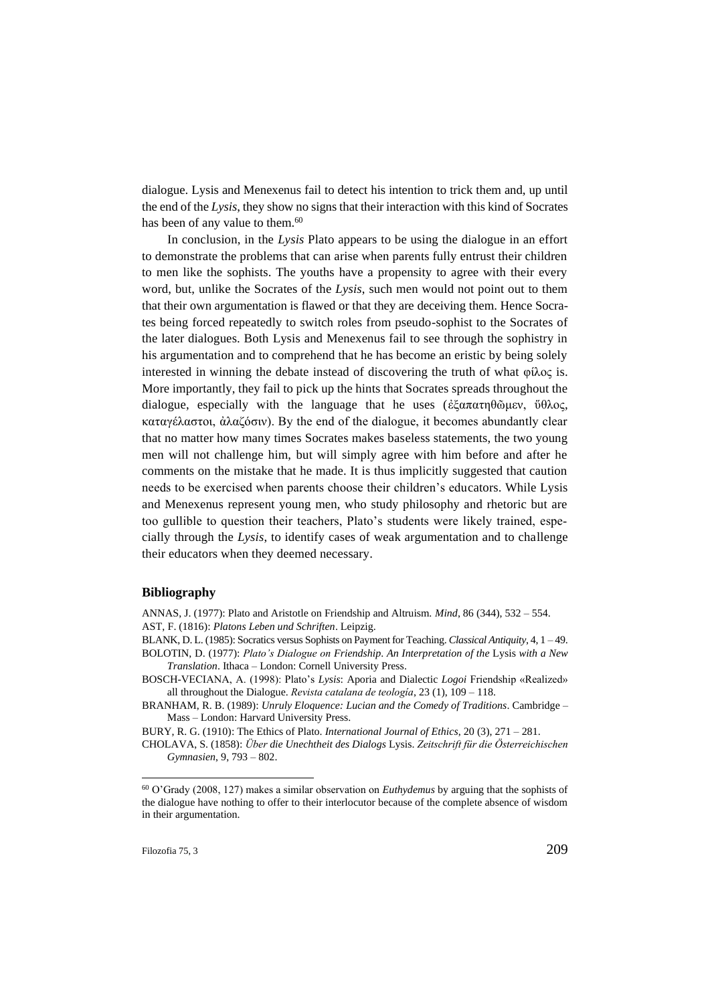dialogue. Lysis and Menexenus fail to detect his intention to trick them and, up until the end of the *Lysis*, they show no signs that their interaction with this kind of Socrates has been of any value to them.<sup>60</sup>

In conclusion, in the *Lysis* Plato appears to be using the dialogue in an effort to demonstrate the problems that can arise when parents fully entrust their children to men like the sophists. The youths have a propensity to agree with their every word, but, unlike the Socrates of the *Lysis*, such men would not point out to them that their own argumentation is flawed or that they are deceiving them. Hence Socrates being forced repeatedly to switch roles from pseudo-sophist to the Socrates of the later dialogues. Both Lysis and Menexenus fail to see through the sophistry in his argumentation and to comprehend that he has become an eristic by being solely interested in winning the debate instead of discovering the truth of what φίλος is. More importantly, they fail to pick up the hints that Socrates spreads throughout the dialogue, especially with the language that he uses (ἐξαπατηθῶμεν, ὕθλος, καταγέλαστοι, ἀλαζόσιν). By the end of the dialogue, it becomes abundantly clear that no matter how many times Socrates makes baseless statements, the two young men will not challenge him, but will simply agree with him before and after he comments on the mistake that he made. It is thus implicitly suggested that caution needs to be exercised when parents choose their children's educators. While Lysis and Menexenus represent young men, who study philosophy and rhetoric but are too gullible to question their teachers, Plato's students were likely trained, especially through the *Lysis*, to identify cases of weak argumentation and to challenge their educators when they deemed necessary.

## **Bibliography**

ANNAS, J. (1977): Plato and Aristotle on Friendship and Altruism. *Mind*, 86 (344), 532 – 554. AST, F. (1816): *Platons Leben und Schriften*. Leipzig.

BLANK, D. L. (1985): Socratics versus Sophists on Payment for Teaching. *Classical Antiquity*, 4, 1 – 49.

- BOLOTIN, D. (1977): *Plato's Dialogue on Friendship*. *An Interpretation of the* Lysis *with a New Translation*. Ithaca – London: Cornell University Press.
- BOSCH-VECIANA, A. (1998): Plato's *Lysis*: Aporia and Dialectic *Logoi* Friendship «Realized» all throughout the Dialogue. *Revista catalana de teología*, 23 (1), 109 – 118.

BURY, R. G. (1910): The Ethics of Plato. *International Journal of Ethics*, 20 (3), 271 – 281.

BRANHAM, R. B. (1989): *Unruly Eloquence: Lucian and the Comedy of Traditions*. Cambridge – Mass – London: Harvard University Press.

CHOLAVA, S. (1858): *Über die Unechtheit des Dialogs* Lysis. *Zeitschrift für die Österreichischen Gymnasien*, 9, 793 – 802.

<sup>60</sup> O'Grady (2008, 127) makes a similar observation on *Euthydemus* by arguing that the sophists of the dialogue have nothing to offer to their interlocutor because of the complete absence of wisdom in their argumentation.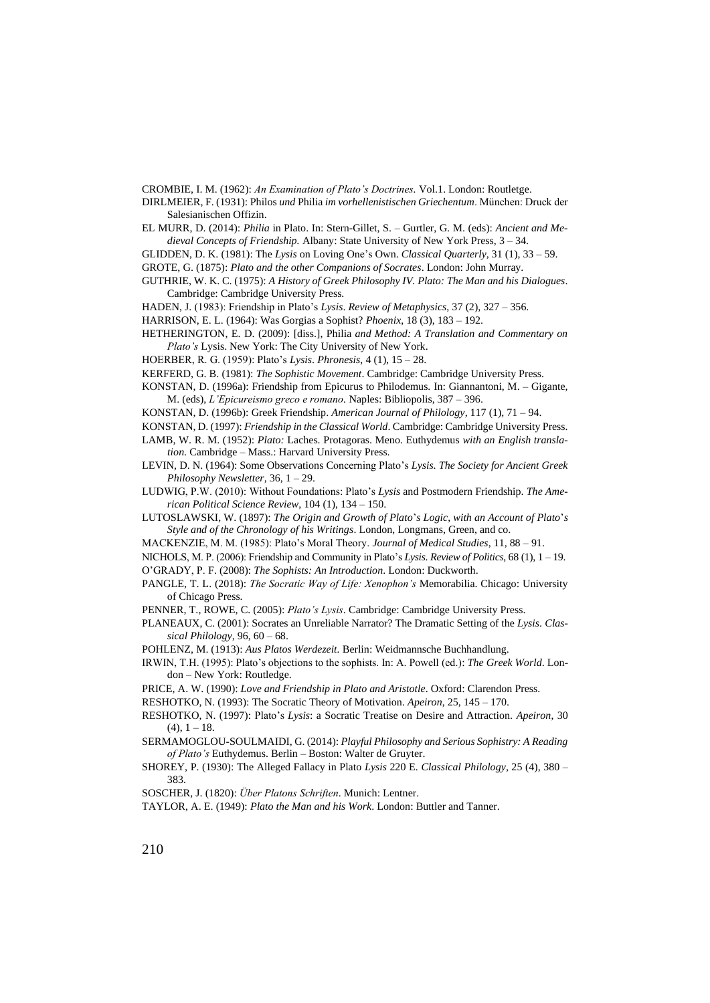CROMBIE, I. M. (1962): *An Examination of Plato's Doctrines.* Vol.1. London: Routletge.

DIRLMEIER, F. (1931): Philos *und* Philia *im vorhellenistischen Griechentum*. München: Druck der Salesianischen Offizin.

- EL MURR, D. (2014): *Philia* in Plato. In: Stern-Gillet, S. Gurtler, G. M. (eds): *Ancient and Medieval Concepts of Friendship.* Albany: State University of New York Press, 3 – 34.
- GLIDDEN, D. K. (1981): The *Lysis* on Loving One's Own. *Classical Quarterly*, 31 (1), 33 59.
- GROTE, G. (1875): *Plato and the other Companions of Socrates*. London: John Murray.
- GUTHRIE, W. K. C. (1975): *A History of Greek Philosophy IV. Plato: The Man and his Dialogues*. Cambridge: Cambridge University Press.
- HADEN, J. (1983): Friendship in Plato's *Lysis*. *Review of Metaphysics*, 37 (2), 327 356.
- HARRISON, E. L. (1964): Was Gorgias a Sophist? *Phoenix*, 18 (3), 183 192.
- HETHERINGTON, E. D. (2009): [diss.], Philia *and Method: A Translation and Commentary on Plato's* Lysis. New York: The City University of New York.
- HOERBER, R. G. (1959): Plato's *Lysis*. *Phronesis*, 4 (1), 15 28.
- KERFERD, G. B. (1981): *The Sophistic Movement*. Cambridge: Cambridge University Press.
- KONSTAN, D. (1996a): Friendship from Epicurus to Philodemus. In: Giannantoni, M. Gigante, M. (eds), *L'Epicureismo greco e romano.* Naples: Bibliopolis, 387 – 396.
- KONSTAN, D. (1996b): Greek Friendship. *American Journal of Philology*, 117 (1), 71 94.
- KONSTAN, D. (1997): *Friendship in the Classical World*. Cambridge: Cambridge University Press.
- LAMB, W. R. M. (1952): *Plato:* Laches. Protagoras. Meno. Euthydemus *with an English translation*. Cambridge – Mass.: Harvard University Press.
- LEVIN, D. N. (1964): Some Observations Concerning Plato's *Lysis*. *The Society for Ancient Greek Philosophy Newsletter*, 36, 1 – 29.
- LUDWIG, P.W. (2010): Without Foundations: Plato's *Lysis* and Postmodern Friendship. *The American Political Science Review*, 104 (1), 134 – 150.
- LUTOSLAWSKI, W. (1897): *The Origin and Growth of Plato*'*s Logic*, *with an Account of Plato*'*s Style and of the Chronology of his Writings*. London, Longmans, Green, and co.
- MACKENZIE, M. M. (1985): Plato's Moral Theory. *Journal of Medical Studies*, 11, 88 91.
- NICHOLS, M. P. (2006): Friendship and Community in Plato's *Lysis*. *Review of Politics*, 68 (1), 1 19.
- O'GRADY, P. F. (2008): *The Sophists: An Introduction*. London: Duckworth.
- PANGLE, T. L. (2018): *The Socratic Way of Life: Xenophon's* Memorabilia. Chicago: University of Chicago Press.
- PENNER, T., ROWE, C. (2005): *Plato's Lysis*. Cambridge: Cambridge University Press.
- PLANEAUX, C. (2001): Socrates an Unreliable Narrator? The Dramatic Setting of the *Lysis*. *Classical Philology*, 96, 60 – 68.
- POHLENZ, M. (1913): *Aus Platos Werdezeit.* Berlin: Weidmannsche Buchhandlung.
- IRWIN, T.H. (1995): Plato's objections to the sophists. In: A. Powell (ed.): *The Greek World*. London – New York: Routledge.
- PRICE, A. W. (1990): *Love and Friendship in Plato and Aristotle*. Oxford: Clarendon Press.
- RESHOTKO, N. (1993): The Socratic Theory of Motivation. *Apeiron*, 25, 145 170.
- RESHOTKO, N. (1997): Plato's *Lysis*: a Socratic Treatise on Desire and Attraction. *Apeiron*, 30  $(4)$ ,  $1 - 18$ .
- SERMAMOGLOU-SOULMAIDI, G. (2014): *Playful Philosophy and Serious Sophistry: A Reading of Plato's* Euthydemus. Berlin – Boston: Walter de Gruyter.
- SHOREY, P. (1930): The Alleged Fallacy in Plato *Lysis* 220 E. *Classical Philology*, 25 (4), 380 383.
- SOSCHER, J. (1820): *Über Platons Schriften*. Munich: Lentner.
- TAYLOR, A. E. (1949): *Plato the Man and his Work*. London: Buttler and Tanner.